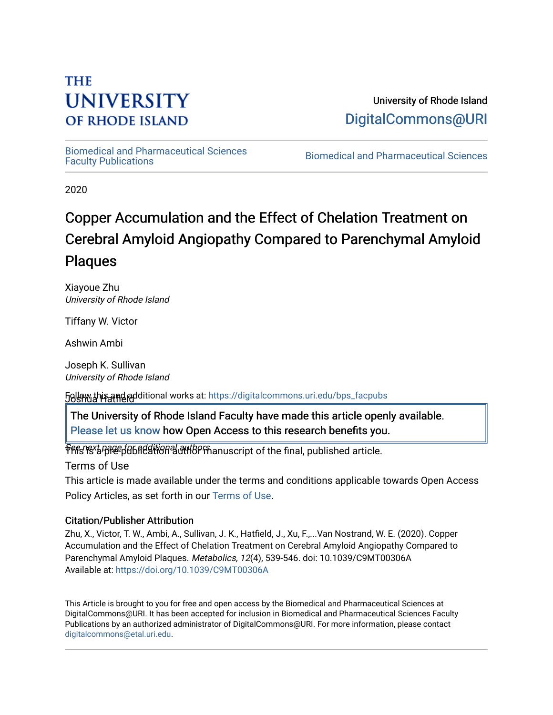# **THE UNIVERSITY OF RHODE ISLAND**

University of Rhode Island [DigitalCommons@URI](https://digitalcommons.uri.edu/) 

[Biomedical and Pharmaceutical Sciences](https://digitalcommons.uri.edu/bps_facpubs) 

Biomedical and Pharmaceutical Sciences

2020

# Copper Accumulation and the Effect of Chelation Treatment on Cerebral Amyloid Angiopathy Compared to Parenchymal Amyloid Plaques

Xiayoue Zhu University of Rhode Island

Tiffany W. Victor

Ashwin Ambi

Joseph K. Sullivan University of Rhode Island

Joshua Hatfield Follow this and additional works at: [https://digitalcommons.uri.edu/bps\\_facpubs](https://digitalcommons.uri.edu/bps_facpubs?utm_source=digitalcommons.uri.edu%2Fbps_facpubs%2F214&utm_medium=PDF&utm_campaign=PDFCoverPages)

 $\parallel$  The University of Rhode Island Faculty have made this article openly available. [Please let us know](http://web.uri.edu/library-digital-initiatives/open-access-online-form/) how Open Access to this research benefits you.

See next page for additional authors This is a pre-publication author manuscript of the final, published article.

Terms of Use

This article is made available under the terms and conditions applicable towards Open Access Policy Articles, as set forth in our [Terms of Use](https://digitalcommons.uri.edu/bps_facpubs/oa_policy_terms.html).

## Citation/Publisher Attribution

Zhu, X., Victor, T. W., Ambi, A., Sullivan, J. K., Hatfield, J., Xu, F.,...Van Nostrand, W. E. (2020). Copper Accumulation and the Effect of Chelation Treatment on Cerebral Amyloid Angiopathy Compared to Parenchymal Amyloid Plaques. Metabolics, 12(4), 539-546. doi: 10.1039/C9MT00306A Available at:<https://doi.org/10.1039/C9MT00306A>

This Article is brought to you for free and open access by the Biomedical and Pharmaceutical Sciences at DigitalCommons@URI. It has been accepted for inclusion in Biomedical and Pharmaceutical Sciences Faculty Publications by an authorized administrator of DigitalCommons@URI. For more information, please contact [digitalcommons@etal.uri.edu](mailto:digitalcommons@etal.uri.edu).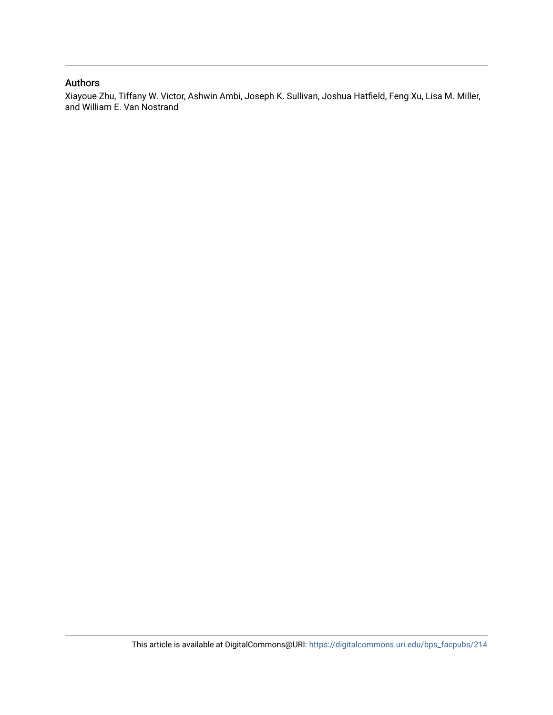## Authors

Xiayoue Zhu, Tiffany W. Victor, Ashwin Ambi, Joseph K. Sullivan, Joshua Hatfield, Feng Xu, Lisa M. Miller, and William E. Van Nostrand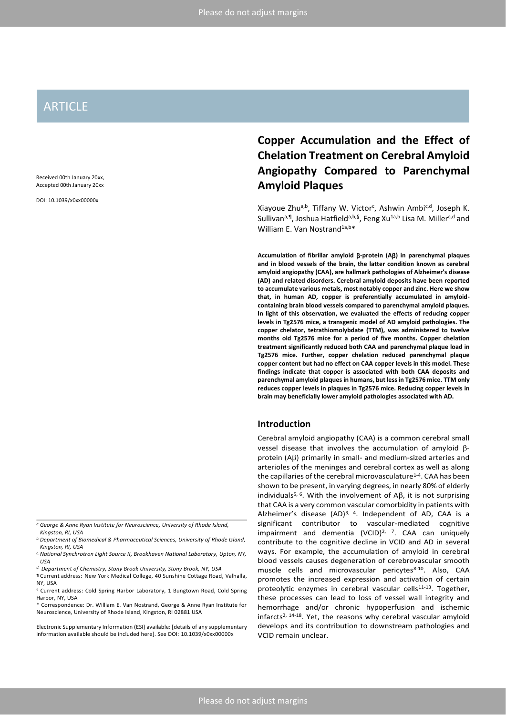## ARTICLE

Received 00th January 20xx, Accepted 00th January 20xx

DOI: 10.1039/x0xx00000x

## **Copper Accumulation and the Effect of Chelation Treatment on Cerebral Amyloid Angiopathy Compared to Parenchymal Amyloid Plaques**

Xiayoue Zhu<sup>a,b</sup>, Tiffany W. Victor<sup>c</sup>, Ashwin Ambi<sup>c,d</sup>, Joseph K. Sullivan<sup>a, ¶</sup>, Joshua Hatfield<sup>a, b, §</sup>, Feng Xu<sup>1a, b</sup> Lisa M. Miller<sup>c, d</sup> and William E. Van Nostrand<sup>1a,b\*</sup>

**Accumulation of fibrillar amyloid -protein (A) in parenchymal plaques and in blood vessels of the brain, the latter condition known as cerebral amyloid angiopathy (CAA), are hallmark pathologies of Alzheimer's disease (AD) and related disorders. Cerebral amyloid deposits have been reported to accumulate various metals, most notably copper and zinc. Here we show that, in human AD, copper is preferentially accumulated in amyloidcontaining brain blood vessels compared to parenchymal amyloid plaques. In light of this observation, we evaluated the effects of reducing copper levels in Tg2576 mice, a transgenic model of AD amyloid pathologies. The copper chelator, tetrathiomolybdate (TTM), was administered to twelve months old Tg2576 mice for a period of five months. Copper chelation treatment significantly reduced both CAA and parenchymal plaque load in Tg2576 mice. Further, copper chelation reduced parenchymal plaque copper content but had no effect on CAA copper levels in this model. These findings indicate that copper is associated with both CAA deposits and parenchymal amyloid plaques in humans, but less in Tg2576 mice. TTM only reduces copper levels in plaques in Tg2576 mice. Reducing copper levels in brain may beneficially lower amyloid pathologies associated with AD.**

### **Introduction**

Cerebral amyloid angiopathy (CAA) is a common cerebral small vessel disease that involves the accumulation of amyloid  $\beta$  $protein (AB)$  primarily in small- and medium-sized arteries and arterioles of the meninges and cerebral cortex as well as along the capillaries of the cerebral microvasculature<sup>1-4</sup>. CAA has been shown to be present, in varying degrees, in nearly 80% of elderly individuals<sup>5, 6</sup>. With the involvement of A $\beta$ , it is not surprising that CAA is a very common vascular comorbidity in patients with Alzheimer's disease  $(AD)^{3, 4}$ . Independent of AD, CAA is a significant contributor to vascular-mediated cognitive impairment and dementia  $(VCID)^{2, 7}$ . CAA can uniquely contribute to the cognitive decline in VCID and AD in several ways. For example, the accumulation of amyloid in cerebral blood vessels causes degeneration of cerebrovascular smooth muscle cells and microvascular pericytes8-10. Also, CAA promotes the increased expression and activation of certain proteolytic enzymes in cerebral vascular cells<sup>11-13</sup>. Together, these processes can lead to loss of vessel wall integrity and hemorrhage and/or chronic hypoperfusion and ischemic infarcts<sup>2, 14-18</sup>. Yet, the reasons why cerebral vascular amyloid develops and its contribution to downstream pathologies and VCID remain unclear.

*a.George & Anne Ryan Institute for Neuroscience, University of Rhode Island, Kingston, RI, USA*

*b.Department of Biomedical & Pharmaceutical Sciences, University of Rhode Island, Kingston, RI, USA*

*c.National Synchrotron Light Source II, Brookhaven National Laboratory, Upton, NY, USA*

*d. Department of Chemistry, Stony Brook University, Stony Brook, NY, USA*

<sup>¶</sup> Current address: New York Medical College, 40 Sunshine Cottage Road, Valhalla, NY, USA

<sup>§</sup> Current address: Cold Spring Harbor Laboratory, 1 Bungtown Road, Cold Spring Harbor, NY, USA

<sup>\*</sup> Correspondence: Dr. William E. Van Nostrand, George & Anne Ryan Institute for Neuroscience, University of Rhode Island, Kingston, RI 02881 USA

Electronic Supplementary Information (ESI) available: [details of any supplementary information available should be included here]. See DOI: 10.1039/x0xx00000x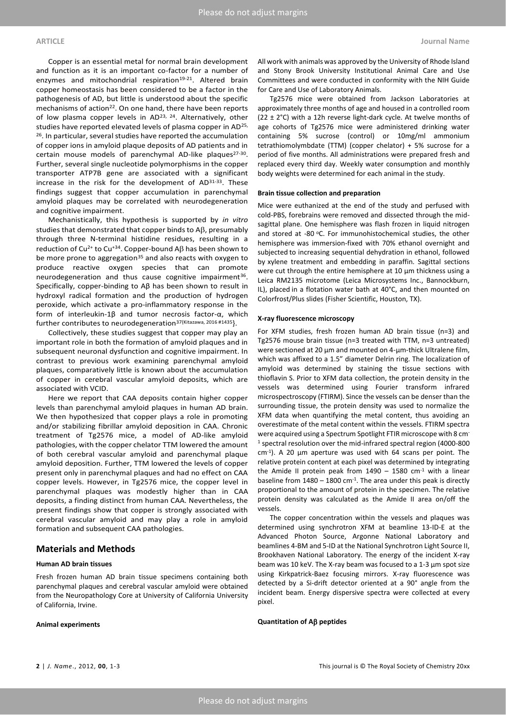Copper is an essential metal for normal brain development and function as it is an important co-factor for a number of enzymes and mitochondrial respiration<sup>19-21</sup>. Altered brain copper homeostasis has been considered to be a factor in the pathogenesis of AD, but little is understood about the specific mechanisms of action<sup>22</sup>. On one hand, there have been reports of low plasma copper levels in AD<sup>23, 24</sup>. Alternatively, other studies have reported elevated levels of plasma copper in AD<sup>25,</sup> <sup>26</sup>. In particular, several studies have reported the accumulation of copper ions in amyloid plaque deposits of AD patients and in certain mouse models of parenchymal AD-like plaques<sup>27-30</sup>. Further, several single nucleotide polymorphisms in the copper transporter ATP7B gene are associated with a significant increase in the risk for the development of AD31-33. These findings suggest that copper accumulation in parenchymal amyloid plaques may be correlated with neurodegeneration and cognitive impairment.

Mechanistically, this hypothesis is supported by *in vitro*  studies that demonstrated that copper binds to  $\mathsf{AB},\mathsf{presumably}$ through three N-terminal histidine residues, resulting in a reduction of Cu<sup>2+</sup> to Cu<sup>+34</sup>. Copper-bound A $\beta$  has been shown to be more prone to aggregation<sup>35</sup> and also reacts with oxygen to produce reactive oxygen species that can promote neurodegeneration and thus cause cognitive impairment<sup>36</sup>. Specifically, copper-binding to Aβ has been shown to result in hydroxyl radical formation and the production of hydrogen peroxide, which activate a pro-inflammatory response in the form of interleukin-1β and tumor necrosis factor-α, which further contributes to neurodegeneration<sup>37{Kitazawa, 2016 #1435</sup>}.

Collectively, these studies suggest that copper may play an important role in both the formation of amyloid plaques and in subsequent neuronal dysfunction and cognitive impairment. In contrast to previous work examining parenchymal amyloid plaques, comparatively little is known about the accumulation of copper in cerebral vascular amyloid deposits, which are associated with VCID.

Here we report that CAA deposits contain higher copper levels than parenchymal amyloid plaques in human AD brain. We then hypothesized that copper plays a role in promoting and/or stabilizing fibrillar amyloid deposition in CAA. Chronic treatment of Tg2576 mice, a model of AD-like amyloid pathologies, with the copper chelator TTM lowered the amount of both cerebral vascular amyloid and parenchymal plaque amyloid deposition. Further, TTM lowered the levels of copper present only in parenchymal plaques and had no effect on CAA copper levels. However, in Tg2576 mice, the copper level in parenchymal plaques was modestly higher than in CAA deposits, a finding distinct from human CAA. Nevertheless, the present findings show that copper is strongly associated with cerebral vascular amyloid and may play a role in amyloid formation and subsequent CAA pathologies.

#### **Materials and Methods**

#### **Human AD brain tissues**

Fresh frozen human AD brain tissue specimens containing both parenchymal plaques and cerebral vascular amyloid were obtained from the Neuropathology Core at University of California University of California, Irvine.

#### **Animal experiments**

All work with animals was approved by the University of Rhode Island and Stony Brook University Institutional Animal Care and Use Committees and were conducted in conformity with the NIH Guide for Care and Use of Laboratory Animals.

Tg2576 mice were obtained from Jackson Laboratories at approximately three months of age and housed in a controlled room (22  $\pm$  2°C) with a 12h reverse light-dark cycle. At twelve months of age cohorts of Tg2576 mice were administered drinking water containing 5% sucrose (control) or 10mg/ml ammonium tetrathiomolymbdate (TTM) (copper chelator) + 5% sucrose for a period of five months. All administrations were prepared fresh and replaced every third day. Weekly water consumption and monthly body weights were determined for each animal in the study.

#### **Brain tissue collection and preparation**

Mice were euthanized at the end of the study and perfused with cold-PBS, forebrains were removed and dissected through the midsagittal plane. One hemisphere was flash frozen in liquid nitrogen and stored at -80  $^{\circ}$ C. For immunohistochemical studies, the other hemisphere was immersion-fixed with 70% ethanol overnight and subjected to increasing sequential dehydration in ethanol, followed by xylene treatment and embedding in paraffin. Sagittal sections were cut through the entire hemisphere at 10  $\mu$ m thickness using a Leica RM2135 microtome (Leica Microsystems Inc., Bannockburn, IL), placed in a flotation water bath at 40°C, and then mounted on Colorfrost/Plus slides (Fisher Scientific, Houston, TX).

#### **X-ray fluorescence microscopy**

For XFM studies, fresh frozen human AD brain tissue (n=3) and Tg2576 mouse brain tissue (n=3 treated with TTM, n=3 untreated) were sectioned at 20  $\mu$ m and mounted on 4- $\mu$ m-thick Ultralene film, which was affixed to a 1.5" diameter Delrin ring. The localization of amyloid was determined by staining the tissue sections with thioflavin S. Prior to XFM data collection, the protein density in the vessels was determined using Fourier transform infrared microspectroscopy (FTIRM). Since the vessels can be denser than the surrounding tissue, the protein density was used to normalize the XFM data when quantifying the metal content, thus avoiding an overestimate of the metal content within the vessels. FTIRM spectra were acquired using a Spectrum Spotlight FTIR microscope with 8 cm-<sup>1</sup> spectral resolution over the mid-infrared spectral region (4000-800 cm-1 ). A 20 µm aperture was used with 64 scans per point. The relative protein content at each pixel was determined by integrating the Amide II protein peak from  $1490 - 1580$  cm<sup>-1</sup> with a linear baseline from  $1480 - 1800$  cm<sup>-1</sup>. The area under this peak is directly proportional to the amount of protein in the specimen. The relative protein density was calculated as the Amide II area on/off the vessels.

The copper concentration within the vessels and plaques was determined using synchrotron XFM at beamline 13-ID-E at the Advanced Photon Source, Argonne National Laboratory and beamlines 4-BM and 5-ID at the National Synchrotron Light Source II, Brookhaven National Laboratory. The energy of the incident X-ray beam was 10 keV. The X-ray beam was focused to a 1-3 µm spot size using Kirkpatrick-Baez focusing mirrors. X-ray fluorescence was detected by a Si-drift detector oriented at a 90° angle from the incident beam. Energy dispersive spectra were collected at every pixel.

#### **Quantitation of A peptides**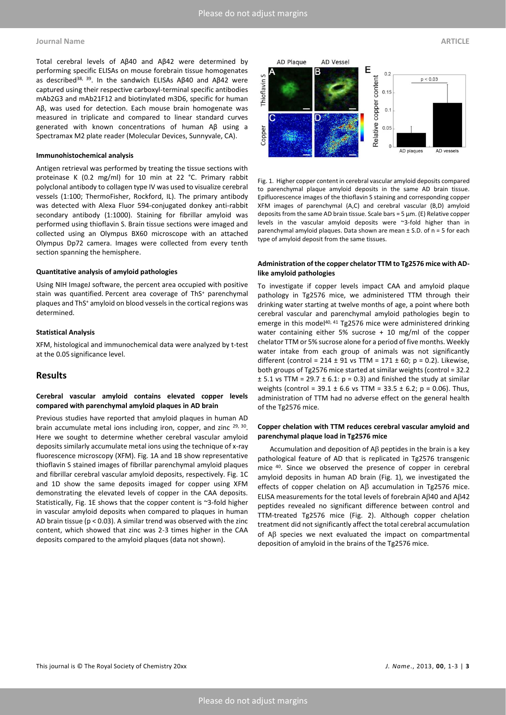#### **Journal Name ARTICLE**

Total cerebral levels of Aβ40 and Aβ42 were determined by performing specific ELISAs on mouse forebrain tissue homogenates as described<sup>38, 39</sup>. In the sandwich ELISAs Aβ40 and Aβ42 were captured using their respective carboxyl-terminal specific antibodies mAb2G3 and mAb21F12 and biotinylated m3D6, specific for human Aβ, was used for detection. Each mouse brain homogenate was measured in triplicate and compared to linear standard curves generated with known concentrations of human Aβ using a Spectramax M2 plate reader (Molecular Devices, Sunnyvale, CA).

#### **Immunohistochemical analysis**

Antigen retrieval was performed by treating the tissue sections with proteinase K (0.2 mg/ml) for 10 min at 22 °C. Primary rabbit polyclonal antibody to collagen type IV was used to visualize cerebral vessels (1:100; ThermoFisher, Rockford, IL). The primary antibody was detected with Alexa Fluor 594-conjugated donkey anti-rabbit secondary antibody (1:1000). Staining for fibrillar amyloid was performed using thioflavin S. Brain tissue sections were imaged and collected using an Olympus BX60 microscope with an attached Olympus Dp72 camera. Images were collected from every tenth section spanning the hemisphere.

#### **Quantitative analysis of amyloid pathologies**

Using NIH ImageJ software, the percent area occupied with positive stain was quantified. Percent area coverage of ThS<sup>+</sup> parenchymal plaques and ThS<sup>+</sup> amyloid on blood vessels in the cortical regions was determined.

#### **Statistical Analysis**

XFM, histological and immunochemical data were analyzed by t-test at the 0.05 significance level.

### **Results**

#### **Cerebral vascular amyloid contains elevated copper levels compared with parenchymal amyloid plaques in AD brain**

Previous studies have reported that amyloid plaques in human AD brain accumulate metal ions including iron, copper, and zinc <sup>29, 30</sup>. Here we sought to determine whether cerebral vascular amyloid deposits similarly accumulate metal ions using the technique of x-ray fluorescence microscopy (XFM). Fig. 1A and 1B show representative thioflavin S stained images of fibrillar parenchymal amyloid plaques and fibrillar cerebral vascular amyloid deposits, respectively. Fig. 1C and 1D show the same deposits imaged for copper using XFM demonstrating the elevated levels of copper in the CAA deposits. Statistically, Fig. 1E shows that the copper content is ~3-fold higher in vascular amyloid deposits when compared to plaques in human AD brain tissue (p < 0.03). A similar trend was observed with the zinc content, which showed that zinc was 2-3 times higher in the CAA deposits compared to the amyloid plaques (data not shown).



Fig. 1. Higher copper content in cerebral vascular amyloid deposits compared to parenchymal plaque amyloid deposits in the same AD brain tissue. Epifluorescence images of the thioflavin S staining and corresponding copper XFM images of parenchymal (A,C) and cerebral vascular (B,D) amyloid deposits from the same AD brain tissue. Scale bars =  $5 \mu m$ . (E) Relative copper levels in the vascular amyloid deposits were ~3-fold higher than in parenchymal amyloid plaques. Data shown are mean ± S.D. of n = 5 for each type of amyloid deposit from the same tissues.

#### **Administration of the copper chelator TTM to Tg2576 mice with ADlike amyloid pathologies**

To investigate if copper levels impact CAA and amyloid plaque pathology in Tg2576 mice, we administered TTM through their drinking water starting at twelve months of age, a point where both cerebral vascular and parenchymal amyloid pathologies begin to emerge in this model<sup>40, 41</sup> Tg2576 mice were administered drinking water containing either 5% sucrose + 10 mg/ml of the copper chelator TTM or 5% sucrose alone for a period of five months. Weekly water intake from each group of animals was not significantly different (control = 214 ± 91 vs TTM = 171 ± 60; p = 0.2). Likewise, both groups of Tg2576 mice started at similar weights (control = 32.2  $\pm$  5.1 vs TTM = 29.7  $\pm$  6.1: p = 0.3) and finished the study at similar weights (control =  $39.1 \pm 6.6$  vs TTM =  $33.5 \pm 6.2$ ; p = 0.06). Thus, administration of TTM had no adverse effect on the general health of the Tg2576 mice.

#### **Copper chelation with TTM reduces cerebral vascular amyloid and parenchymal plaque load in Tg2576 mice**

Accumulation and deposition of  $A\beta$  peptides in the brain is a key pathological feature of AD that is replicated in Tg2576 transgenic mice <sup>40</sup>. Since we observed the presence of copper in cerebral amyloid deposits in human AD brain (Fig. 1), we investigated the effects of copper chelation on  $\mathsf{A}\beta$  accumulation in Tg2576 mice. ELISA measurements for the total levels of forebrain A $\beta$ 40 and A $\beta$ 42 peptides revealed no significant difference between control and TTM-treated Tg2576 mice (Fig. 2). Although copper chelation treatment did not significantly affect the total cerebral accumulation of  $AB$  species we next evaluated the impact on compartmental deposition of amyloid in the brains of the Tg2576 mice.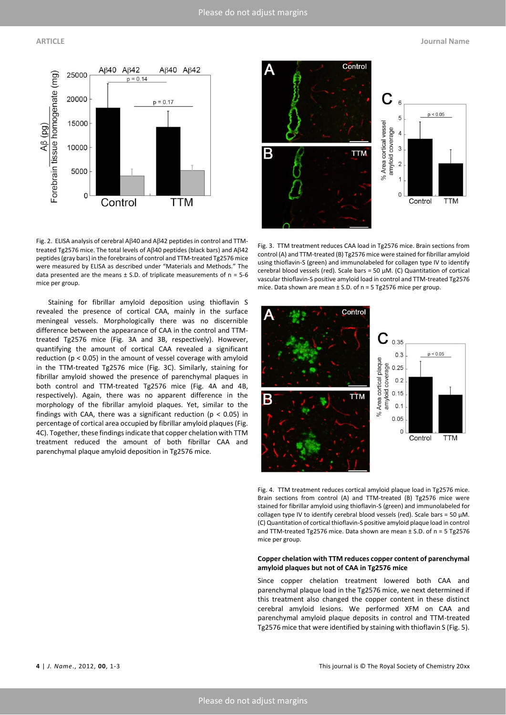

Fig. 2. ELISA analysis of cerebral A $\beta$ 40 and A $\beta$ 42 peptides in control and TTMtreated Tg2576 mice. The total levels of A $\beta$ 40 peptides (black bars) and A $\beta$ 42 peptides (gray bars) in the forebrains of control and TTM-treated Tg2576 mice were measured by ELISA as described under "Materials and Methods." The data presented are the means  $\pm$  S.D. of triplicate measurements of n = 5-6 mice per group.

Staining for fibrillar amyloid deposition using thioflavin S revealed the presence of cortical CAA, mainly in the surface meningeal vessels. Morphologically there was no discernible difference between the appearance of CAA in the control and TTMtreated Tg2576 mice (Fig. 3A and 3B, respectively). However, quantifying the amount of cortical CAA revealed a significant reduction (p < 0.05) in the amount of vessel coverage with amyloid in the TTM-treated Tg2576 mice (Fig. 3C). Similarly, staining for fibrillar amyloid showed the presence of parenchymal plaques in both control and TTM-treated Tg2576 mice (Fig. 4A and 4B, respectively). Again, there was no apparent difference in the morphology of the fibrillar amyloid plaques. Yet, similar to the findings with CAA, there was a significant reduction ( $p < 0.05$ ) in percentage of cortical area occupied by fibrillar amyloid plaques (Fig. 4C). Together, these findings indicate that copper chelation with TTM treatment reduced the amount of both fibrillar CAA and parenchymal plaque amyloid deposition in Tg2576 mice.



Fig. 3. TTM treatment reduces CAA load in Tg2576 mice. Brain sections from control (A) and TTM-treated (B) Tg2576 mice were stained for fibrillar amyloid using thioflavin-S (green) and immunolabeled for collagen type IV to identify cerebral blood vessels (red). Scale bars = 50  $\mu$ M. (C) Quantitation of cortical vascular thioflavin-S positive amyloid load in control and TTM-treated Tg2576 mice. Data shown are mean ± S.D. of n = 5 Tg2576 mice per group.



Fig. 4. TTM treatment reduces cortical amyloid plaque load in Tg2576 mice. Brain sections from control (A) and TTM-treated (B) Tg2576 mice were stained for fibrillar amyloid using thioflavin-S (green) and immunolabeled for collagen type IV to identify cerebral blood vessels (red). Scale bars = 50  $\mu$ M. (C) Quantitation of cortical thioflavin-S positive amyloid plaque load in control and TTM-treated Tg2576 mice. Data shown are mean  $\pm$  S.D. of n = 5 Tg2576 mice per group.

#### **Copper chelation with TTM reduces copper content of parenchymal amyloid plaques but not of CAA in Tg2576 mice**

Since copper chelation treatment lowered both CAA and parenchymal plaque load in the Tg2576 mice, we next determined if this treatment also changed the copper content in these distinct cerebral amyloid lesions. We performed XFM on CAA and parenchymal amyloid plaque deposits in control and TTM-treated Tg2576 mice that were identified by staining with thioflavin S (Fig. 5).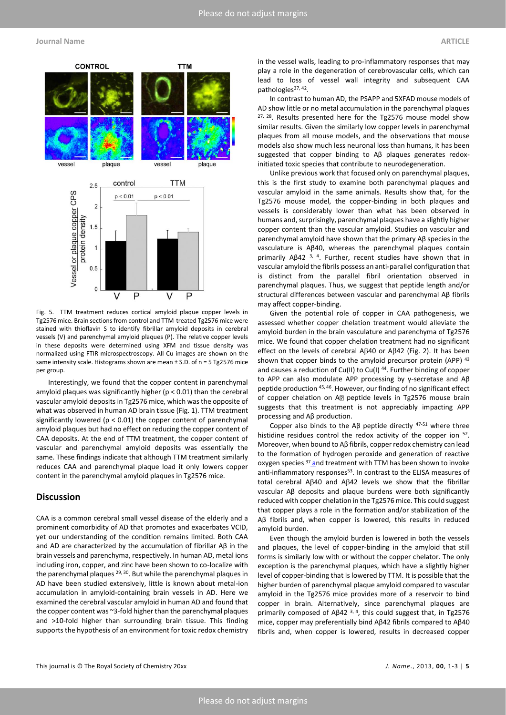

Fig. 5. TTM treatment reduces cortical amyloid plaque copper levels in Tg2576 mice. Brain sections from control and TTM-treated Tg2576 mice were stained with thioflavin S to identify fibrillar amyloid deposits in cerebral vessels (V) and parenchymal amyloid plaques (P). The relative copper levels in these deposits were determined using XFM and tissue density was normalized using FTIR microspectroscopy. All Cu images are shown on the same intensity scale. Histograms shown are mean ± S.D. of n = 5 Tg2576 mice per group.

Interestingly, we found that the copper content in parenchymal amyloid plaques was significantly higher (p < 0.01) than the cerebral vascular amyloid deposits in Tg2576 mice, which was the opposite of what was observed in human AD brain tissue (Fig. 1). TTM treatment significantly lowered (p < 0.01) the copper content of parenchymal amyloid plaques but had no effect on reducing the copper content of CAA deposits. At the end of TTM treatment, the copper content of vascular and parenchymal amyloid deposits was essentially the same. These findings indicate that although TTM treatment similarly reduces CAA and parenchymal plaque load it only lowers copper content in the parenchymal amyloid plaques in Tg2576 mice.

### **Discussion**

CAA is a common cerebral small vessel disease of the elderly and a prominent comorbidity of AD that promotes and exacerbates VCID, yet our understanding of the condition remains limited. Both CAA and AD are characterized by the accumulation of fibrillar Aβ in the brain vessels and parenchyma, respectively. In human AD, metal ions including iron, copper, and zinc have been shown to co-localize with the parenchymal plaques <sup>29, 30</sup>. But while the parenchymal plaques in AD have been studied extensively, little is known about metal-ion accumulation in amyloid-containing brain vessels in AD. Here we examined the cerebral vascular amyloid in human AD and found that the copper content was ~3-fold higher than the parenchymal plaques and >10-fold higher than surrounding brain tissue. This finding supports the hypothesis of an environment for toxic redox chemistry

in the vessel walls, leading to pro-inflammatory responses that may play a role in the degeneration of cerebrovascular cells, which can lead to loss of vessel wall integrity and subsequent CAA pathologies<sup>37, 42</sup>.

In contrast to human AD, the PSAPP and 5XFAD mouse models of AD show little or no metal accumulation in the parenchymal plaques <sup>27, 28</sup>. Results presented here for the Tg2576 mouse model show similar results. Given the similarly low copper levels in parenchymal plaques from all mouse models, and the observations that mouse models also show much less neuronal loss than humans, it has been suggested that copper binding to Aβ plaques generates redoxinitiated toxic species that contribute to neurodegeneration.

Unlike previous work that focused only on parenchymal plaques, this is the first study to examine both parenchymal plaques and vascular amyloid in the same animals. Results show that, for the Tg2576 mouse model, the copper-binding in both plaques and vessels is considerably lower than what has been observed in humans and, surprisingly, parenchymal plaques have a slightly higher copper content than the vascular amyloid. Studies on vascular and parenchymal amyloid have shown that the primary Aβ species in the vasculature is Aβ40, whereas the parenchymal plaques contain primarily Aβ42 3, 4 . Further, recent studies have shown that in vascular amyloid the fibrils possess an anti-parallel configuration that is distinct from the parallel fibril orientation observed in parenchymal plaques. Thus, we suggest that peptide length and/or structural differences between vascular and parenchymal Aβ fibrils may affect copper-binding.

Given the potential role of copper in CAA pathogenesis, we assessed whether copper chelation treatment would alleviate the amyloid burden in the brain vasculature and parenchyma of Tg2576 mice. We found that copper chelation treatment had no significant effect on the levels of cerebral A $\beta$ 40 or A $\beta$ 42 (Fig. 2). It has been shown that copper binds to the amyloid precursor protein (APP) 43 and causes a reduction of Cu(II) to Cu(I) <sup>44</sup>. Further binding of copper to APP can also modulate APP processing by γ-secretase and Aβ peptide production 45, 46. However, our finding of no significant effect of copper chelation on A<sup>p</sup> peptide levels in Tg2576 mouse brain suggests that this treatment is not appreciably impacting APP processing and Aβ production.

Copper also binds to the A $\beta$  peptide directly  $47-51$  where three histidine residues control the redox activity of the copper ion <sup>52</sup>. Moreover, when bound to Aβ fibrils, copper redox chemistry can lead to the formation of hydrogen peroxide and generation of reactive oxygen species  $37$  and treatment with TTM has been shown to invoke anti-inflammatory responses<sup>53</sup>. In contrast to the ELISA measures of total cerebral A $\beta$ 40 and A $\beta$ 42 levels we show that the fibrillar vascular Aβ deposits and plaque burdens were both significantly reduced with copper chelation in the Tg2576 mice. This could suggest that copper plays a role in the formation and/or stabilization of the Aβ fibrils and, when copper is lowered, this results in reduced amyloid burden.

Even though the amyloid burden is lowered in both the vessels and plaques, the level of copper-binding in the amyloid that still forms is similarly low with or without the copper chelator. The only exception is the parenchymal plaques, which have a slightly higher level of copper-binding that is lowered by TTM. It is possible that the higher burden of parenchymal plaque amyloid compared to vascular amyloid in the Tg2576 mice provides more of a reservoir to bind copper in brain. Alternatively, since parenchymal plaques are primarily composed of A $\beta$ 42<sup>3,4</sup>, this could suggest that, in Tg2576 mice, copper may preferentially bind Aβ42 fibrils compared to Aβ40 fibrils and, when copper is lowered, results in decreased copper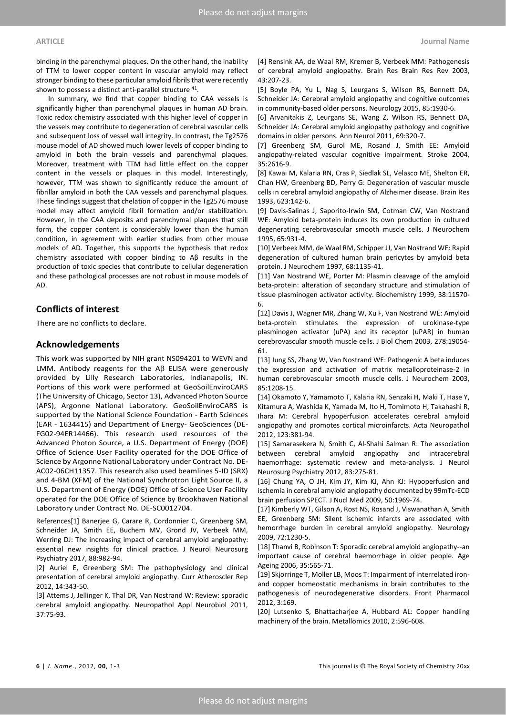binding in the parenchymal plaques. On the other hand, the inability of TTM to lower copper content in vascular amyloid may reflect stronger binding to these particular amyloid fibrils that were recently shown to possess a distinct anti-parallel structure <sup>41</sup>.

In summary, we find that copper binding to CAA vessels is significantly higher than parenchymal plaques in human AD brain. Toxic redox chemistry associated with this higher level of copper in the vessels may contribute to degeneration of cerebral vascular cells and subsequent loss of vessel wall integrity. In contrast, the Tg2576 mouse model of AD showed much lower levels of copper binding to amyloid in both the brain vessels and parenchymal plaques. Moreover, treatment with TTM had little effect on the copper content in the vessels or plaques in this model. Interestingly, however, TTM was shown to significantly reduce the amount of fibrillar amyloid in both the CAA vessels and parenchymal plaques. These findings suggest that chelation of copper in the Tg2576 mouse model may affect amyloid fibril formation and/or stabilization. However, in the CAA deposits and parenchymal plaques that still form, the copper content is considerably lower than the human condition, in agreement with earlier studies from other mouse models of AD. Together, this supports the hypothesis that redox chemistry associated with copper binding to Aβ results in the production of toxic species that contribute to cellular degeneration and these pathological processes are not robust in mouse models of AD.

### **Conflicts of interest**

There are no conflicts to declare.

#### **Acknowledgements**

This work was supported by NIH grant NS094201 to WEVN and LMM. Antibody reagents for the A $\beta$  ELISA were generously provided by Lilly Research Laboratories, Indianapolis, IN. Portions of this work were performed at GeoSoilEnviroCARS (The University of Chicago, Sector 13), Advanced Photon Source (APS), Argonne National Laboratory. GeoSoilEnviroCARS is supported by the National Science Foundation - Earth Sciences (EAR - 1634415) and Department of Energy- GeoSciences (DE-FG02-94ER14466). This research used resources of the Advanced Photon Source, a U.S. Department of Energy (DOE) Office of Science User Facility operated for the DOE Office of Science by Argonne National Laboratory under Contract No. DE-AC02-06CH11357. This research also used beamlines 5-ID (SRX) and 4-BM (XFM) of the National Synchrotron Light Source II, a U.S. Department of Energy (DOE) Office of Science User Facility operated for the DOE Office of Science by Brookhaven National Laboratory under Contract No. DE-SC0012704.

References[1] Banerjee G, Carare R, Cordonnier C, Greenberg SM, Schneider JA, Smith EE, Buchem MV, Grond JV, Verbeek MM, Werring DJ: The increasing impact of cerebral amyloid angiopathy: essential new insights for clinical practice. J Neurol Neurosurg Psychiatry 2017, 88:982-94.

[2] Auriel E, Greenberg SM: The pathophysiology and clinical presentation of cerebral amyloid angiopathy. Curr Atheroscler Rep 2012, 14:343-50.

[3] Attems J, Jellinger K, Thal DR, Van Nostrand W: Review: sporadic cerebral amyloid angiopathy. Neuropathol Appl Neurobiol 2011, 37:75-93.

[4] Rensink AA, de Waal RM, Kremer B, Verbeek MM: Pathogenesis of cerebral amyloid angiopathy. Brain Res Brain Res Rev 2003, 43:207-23.

[5] Boyle PA, Yu L, Nag S, Leurgans S, Wilson RS, Bennett DA, Schneider JA: Cerebral amyloid angiopathy and cognitive outcomes in community-based older persons. Neurology 2015, 85:1930-6.

[6] Arvanitakis Z, Leurgans SE, Wang Z, Wilson RS, Bennett DA, Schneider JA: Cerebral amyloid angiopathy pathology and cognitive domains in older persons. Ann Neurol 2011, 69:320-7.

[7] Greenberg SM, Gurol ME, Rosand J, Smith EE: Amyloid angiopathy-related vascular cognitive impairment. Stroke 2004, 35:2616-9.

[8] Kawai M, Kalaria RN, Cras P, Siedlak SL, Velasco ME, Shelton ER, Chan HW, Greenberg BD, Perry G: Degeneration of vascular muscle cells in cerebral amyloid angiopathy of Alzheimer disease. Brain Res 1993, 623:142-6.

[9] Davis-Salinas J, Saporito-Irwin SM, Cotman CW, Van Nostrand WE: Amyloid beta-protein induces its own production in cultured degenerating cerebrovascular smooth muscle cells. J Neurochem 1995, 65:931-4.

[10] Verbeek MM, de Waal RM, Schipper JJ, Van Nostrand WE: Rapid degeneration of cultured human brain pericytes by amyloid beta protein. J Neurochem 1997, 68:1135-41.

[11] Van Nostrand WE, Porter M: Plasmin cleavage of the amyloid beta-protein: alteration of secondary structure and stimulation of tissue plasminogen activator activity. Biochemistry 1999, 38:11570- 6.

[12] Davis J, Wagner MR, Zhang W, Xu F, Van Nostrand WE: Amyloid beta-protein stimulates the expression of urokinase-type plasminogen activator (uPA) and its receptor (uPAR) in human cerebrovascular smooth muscle cells. J Biol Chem 2003, 278:19054- 61.

[13] Jung SS, Zhang W, Van Nostrand WE: Pathogenic A beta induces the expression and activation of matrix metalloproteinase-2 in human cerebrovascular smooth muscle cells. J Neurochem 2003, 85:1208-15.

[14] Okamoto Y, Yamamoto T, Kalaria RN, Senzaki H, Maki T, Hase Y, Kitamura A, Washida K, Yamada M, Ito H, Tomimoto H, Takahashi R, Ihara M: Cerebral hypoperfusion accelerates cerebral amyloid angiopathy and promotes cortical microinfarcts. Acta Neuropathol 2012, 123:381-94.

[15] Samarasekera N, Smith C, Al-Shahi Salman R: The association between cerebral amyloid angiopathy and intracerebral haemorrhage: systematic review and meta-analysis. J Neurol Neurosurg Psychiatry 2012, 83:275-81.

[16] Chung YA, O JH, Kim JY, Kim KJ, Ahn KJ: Hypoperfusion and ischemia in cerebral amyloid angiopathy documented by 99mTc-ECD brain perfusion SPECT. J Nucl Med 2009, 50:1969-74.

[17] Kimberly WT, Gilson A, Rost NS, Rosand J, Viswanathan A, Smith EE, Greenberg SM: Silent ischemic infarcts are associated with hemorrhage burden in cerebral amyloid angiopathy. Neurology 2009, 72:1230-5.

[18] Thanvi B, Robinson T: Sporadic cerebral amyloid angiopathy--an important cause of cerebral haemorrhage in older people. Age Ageing 2006, 35:565-71.

[19] Skjorringe T, Moller LB, Moos T: Impairment of interrelated ironand copper homeostatic mechanisms in brain contributes to the pathogenesis of neurodegenerative disorders. Front Pharmacol 2012, 3:169.

[20] Lutsenko S, Bhattacharjee A, Hubbard AL: Copper handling machinery of the brain. Metallomics 2010, 2:596-608.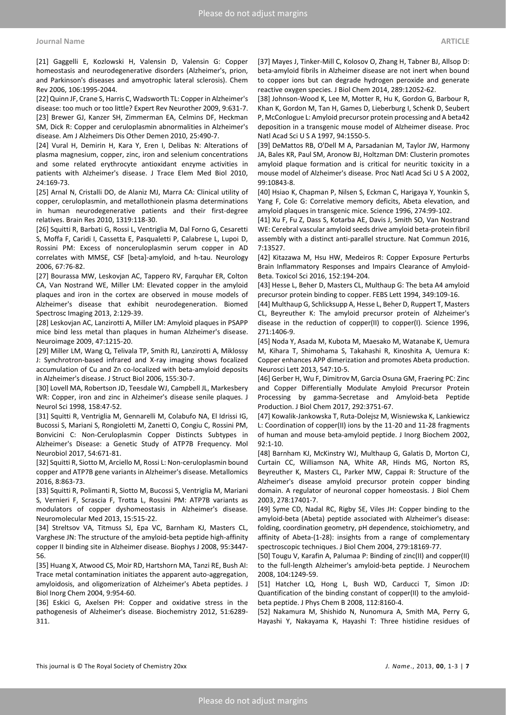[21] Gaggelli E, Kozlowski H, Valensin D, Valensin G: Copper homeostasis and neurodegenerative disorders (Alzheimer's, prion, and Parkinson's diseases and amyotrophic lateral sclerosis). Chem Rev 2006, 106:1995-2044.

[22] Quinn JF, Crane S, Harris C, Wadsworth TL: Copper in Alzheimer's disease: too much or too little? Expert Rev Neurother 2009, 9:631-7. [23] Brewer GJ, Kanzer SH, Zimmerman EA, Celmins DF, Heckman SM, Dick R: Copper and ceruloplasmin abnormalities in Alzheimer's disease. Am J Alzheimers Dis Other Demen 2010, 25:490-7.

[24] Vural H, Demirin H, Kara Y, Eren I, Delibas N: Alterations of plasma magnesium, copper, zinc, iron and selenium concentrations and some related erythrocyte antioxidant enzyme activities in patients with Alzheimer's disease. J Trace Elem Med Biol 2010, 24:169-73.

[25] Arnal N, Cristalli DO, de Alaniz MJ, Marra CA: Clinical utility of copper, ceruloplasmin, and metallothionein plasma determinations in human neurodegenerative patients and their first-degree relatives. Brain Res 2010, 1319:118-30.

[26] Squitti R, Barbati G, Rossi L, Ventriglia M, Dal Forno G, Cesaretti S, Moffa F, Caridi I, Cassetta E, Pasqualetti P, Calabrese L, Lupoi D, Rossini PM: Excess of nonceruloplasmin serum copper in AD correlates with MMSE, CSF [beta]-amyloid, and h-tau. Neurology 2006, 67:76-82.

[27] Bourassa MW, Leskovjan AC, Tappero RV, Farquhar ER, Colton CA, Van Nostrand WE, Miller LM: Elevated copper in the amyloid plaques and iron in the cortex are observed in mouse models of Alzheimer's disease that exhibit neurodegeneration. Biomed Spectrosc Imaging 2013, 2:129-39.

[28] Leskovjan AC, Lanzirotti A, Miller LM: Amyloid plaques in PSAPP mice bind less metal than plaques in human Alzheimer's disease. Neuroimage 2009, 47:1215-20.

[29] Miller LM, Wang Q, Telivala TP, Smith RJ, Lanzirotti A, Miklossy J: Synchrotron-based infrared and X-ray imaging shows focalized accumulation of Cu and Zn co-localized with beta-amyloid deposits in Alzheimer's disease. J Struct Biol 2006, 155:30-7.

[30] Lovell MA, Robertson JD, Teesdale WJ, Campbell JL, Markesbery WR: Copper, iron and zinc in Alzheimer's disease senile plaques. J Neurol Sci 1998, 158:47-52.

[31] Squitti R, Ventriglia M, Gennarelli M, Colabufo NA, El Idrissi IG, Bucossi S, Mariani S, Rongioletti M, Zanetti O, Congiu C, Rossini PM, Bonvicini C: Non-Ceruloplasmin Copper Distincts Subtypes in Alzheimer's Disease: a Genetic Study of ATP7B Frequency. Mol Neurobiol 2017, 54:671-81.

[32] Squitti R, Siotto M, Arciello M, Rossi L: Non-ceruloplasmin bound copper and ATP7B gene variants in Alzheimer's disease. Metallomics 2016, 8:863-73.

[33] Squitti R, Polimanti R, Siotto M, Bucossi S, Ventriglia M, Mariani S, Vernieri F, Scrascia F, Trotta L, Rossini PM: ATP7B variants as modulators of copper dyshomeostasis in Alzheimer's disease. Neuromolecular Med 2013, 15:515-22.

[34] Streltsov VA, Titmuss SJ, Epa VC, Barnham KJ, Masters CL, Varghese JN: The structure of the amyloid-beta peptide high-affinity copper II binding site in Alzheimer disease. Biophys J 2008, 95:3447- 56.

[35] Huang X, Atwood CS, Moir RD, Hartshorn MA, Tanzi RE, Bush AI: Trace metal contamination initiates the apparent auto-aggregation, amyloidosis, and oligomerization of Alzheimer's Abeta peptides. J Biol Inorg Chem 2004, 9:954-60.

[36] Eskici G, Axelsen PH: Copper and oxidative stress in the pathogenesis of Alzheimer's disease. Biochemistry 2012, 51:6289- 311.

[37] Mayes J, Tinker-Mill C, Kolosov O, Zhang H, Tabner BJ, Allsop D: beta-amyloid fibrils in Alzheimer disease are not inert when bound to copper ions but can degrade hydrogen peroxide and generate reactive oxygen species. J Biol Chem 2014, 289:12052-62.

[38] Johnson-Wood K, Lee M, Motter R, Hu K, Gordon G, Barbour R, Khan K, Gordon M, Tan H, Games D, Lieberburg I, Schenk D, Seubert P, McConlogue L: Amyloid precursor protein processing and A beta42 deposition in a transgenic mouse model of Alzheimer disease. Proc Natl Acad Sci U S A 1997, 94:1550-5.

[39] DeMattos RB, O'Dell M A, Parsadanian M, Taylor JW, Harmony JA, Bales KR, Paul SM, Aronow BJ, Holtzman DM: Clusterin promotes amyloid plaque formation and is critical for neuritic toxicity in a mouse model of Alzheimer's disease. Proc Natl Acad Sci U S A 2002, 99:10843-8.

[40] Hsiao K, Chapman P, Nilsen S, Eckman C, Harigaya Y, Younkin S, Yang F, Cole G: Correlative memory deficits, Abeta elevation, and amyloid plaques in transgenic mice. Science 1996, 274:99-102.

[41] Xu F, Fu Z, Dass S, Kotarba AE, Davis J, Smith SO, Van Nostrand WE: Cerebral vascular amyloid seeds drive amyloid beta-protein fibril assembly with a distinct anti-parallel structure. Nat Commun 2016, 7:13527.

[42] Kitazawa M, Hsu HW, Medeiros R: Copper Exposure Perturbs Brain Inflammatory Responses and Impairs Clearance of Amyloid-Beta. Toxicol Sci 2016, 152:194-204.

[43] Hesse L, Beher D, Masters CL, Multhaup G: The beta A4 amyloid precursor protein binding to copper. FEBS Lett 1994, 349:109-16.

[44] Multhaup G, Schlicksupp A, Hesse L, Beher D, Ruppert T, Masters CL, Beyreuther K: The amyloid precursor protein of Alzheimer's disease in the reduction of copper(II) to copper(I). Science 1996, 271:1406-9.

[45] Noda Y, Asada M, Kubota M, Maesako M, Watanabe K, Uemura M, Kihara T, Shimohama S, Takahashi R, Kinoshita A, Uemura K: Copper enhances APP dimerization and promotes Abeta production. Neurosci Lett 2013, 547:10-5.

[46] Gerber H, Wu F, Dimitrov M, Garcia Osuna GM, Fraering PC: Zinc and Copper Differentially Modulate Amyloid Precursor Protein Processing by gamma-Secretase and Amyloid-beta Peptide Production. J Biol Chem 2017, 292:3751-67.

[47] Kowalik-Jankowska T, Ruta-Dolejsz M, Wisniewska K, Lankiewicz L: Coordination of copper(II) ions by the 11-20 and 11-28 fragments of human and mouse beta-amyloid peptide. J Inorg Biochem 2002,  $92.1 - 10$ 

[48] Barnham KJ, McKinstry WJ, Multhaup G, Galatis D, Morton CJ, Curtain CC, Williamson NA, White AR, Hinds MG, Norton RS, Beyreuther K, Masters CL, Parker MW, Cappai R: Structure of the Alzheimer's disease amyloid precursor protein copper binding domain. A regulator of neuronal copper homeostasis. J Biol Chem 2003, 278:17401-7.

[49] Syme CD, Nadal RC, Rigby SE, Viles JH: Copper binding to the amyloid-beta (Abeta) peptide associated with Alzheimer's disease: folding, coordination geometry, pH dependence, stoichiometry, and affinity of Abeta-(1-28): insights from a range of complementary spectroscopic techniques. J Biol Chem 2004, 279:18169-77.

[50] Tougu V, Karafin A, Palumaa P: Binding of zinc(II) and copper(II) to the full-length Alzheimer's amyloid-beta peptide. J Neurochem 2008, 104:1249-59.

[51] Hatcher LQ, Hong L, Bush WD, Carducci T, Simon JD: Quantification of the binding constant of copper(II) to the amyloidbeta peptide. J Phys Chem B 2008, 112:8160-4.

[52] Nakamura M, Shishido N, Nunomura A, Smith MA, Perry G, Hayashi Y, Nakayama K, Hayashi T: Three histidine residues of